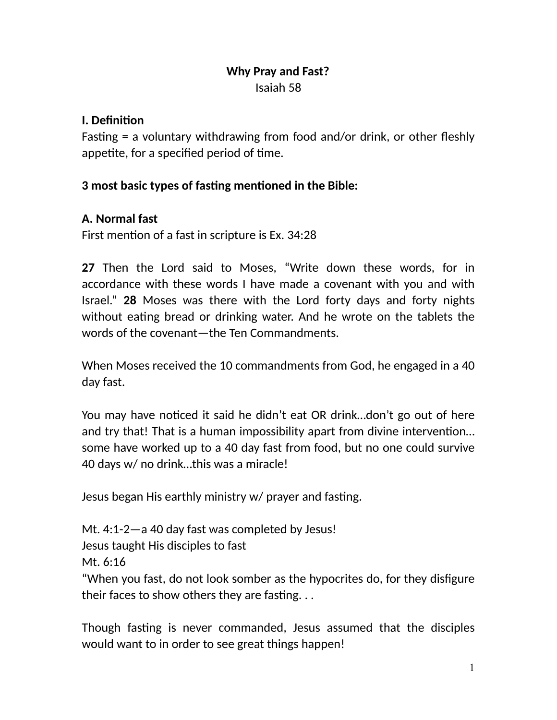### **Why Pray and Fast?**  Isaiah 58

#### **I.** Definition

Fasting  $=$  a voluntary withdrawing from food and/or drink, or other fleshly appetite, for a specified period of time.

#### **3 most basic types of fasting mentioned in the Bible:**

#### **A. Normal fast**

First mention of a fast in scripture is Ex. 34:28

**27** Then the Lord said to Moses, "Write down these words, for in accordance with these words I have made a covenant with you and with Israel." **28** Moses was there with the Lord forty days and forty nights without eating bread or drinking water. And he wrote on the tablets the words of the covenant—the Ten Commandments.

When Moses received the 10 commandments from God, he engaged in a 40 day fast.

You may have noticed it said he didn't eat OR drink...don't go out of here and try that! That is a human impossibility apart from divine intervention... some have worked up to a 40 day fast from food, but no one could survive 40 days w/ no drink…this was a miracle!

Jesus began His earthly ministry w/ prayer and fasting.

Mt. 4:1-2—a 40 day fast was completed by Jesus! Jesus taught His disciples to fast Mt. 6:16

"When you fast, do not look somber as the hypocrites do, for they disfigure their faces to show others they are fasting.  $\dots$ 

Though fasting is never commanded, Jesus assumed that the disciples would want to in order to see great things happen!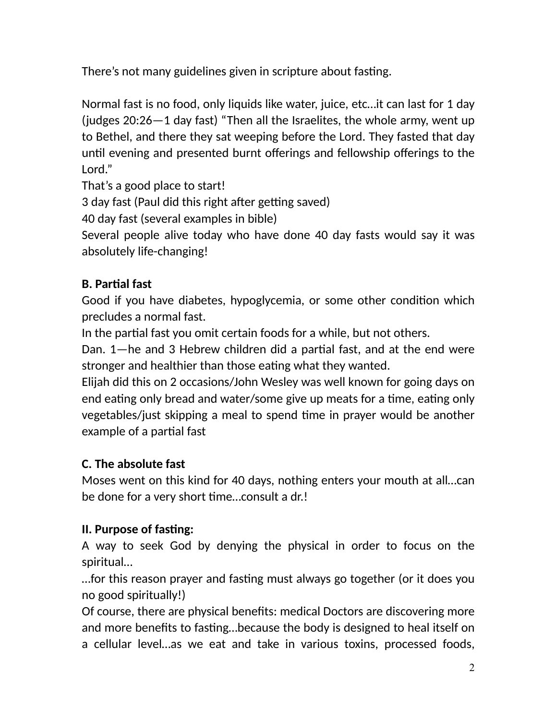There's not many guidelines given in scripture about fasting.

Normal fast is no food, only liquids like water, juice, etc…it can last for 1 day (judges 20:26—1 day fast) "Then all the Israelites, the whole army, went up to Bethel, and there they sat weeping before the Lord. They fasted that day until evening and presented burnt offerings and fellowship offerings to the Lord."

That's a good place to start!

3 day fast (Paul did this right after getting saved)

40 day fast (several examples in bible)

Several people alive today who have done 40 day fasts would say it was absolutely life-changing!

## **B. Partial fast**

Good if you have diabetes, hypoglycemia, or some other condition which precludes a normal fast.

In the partial fast you omit certain foods for a while, but not others.

Dan.  $1$ —he and 3 Hebrew children did a partial fast, and at the end were stronger and healthier than those eating what they wanted.

Elijah did this on 2 occasions/John Wesley was well known for going days on end eating only bread and water/some give up meats for a time, eating only vegetables/just skipping a meal to spend time in prayer would be another example of a partial fast

### **C. The absolute fast**

Moses went on this kind for 40 days, nothing enters your mouth at all…can be done for a very short time...consult a dr.!

### **II. Purpose of fasting:**

A way to seek God by denying the physical in order to focus on the spiritual…

…for this reason prayer and fas\*ng must always go together (or it does you no good spiritually!)

Of course, there are physical benefits: medical Doctors are discovering more and more benefits to fasting...because the body is designed to heal itself on a cellular level…as we eat and take in various toxins, processed foods,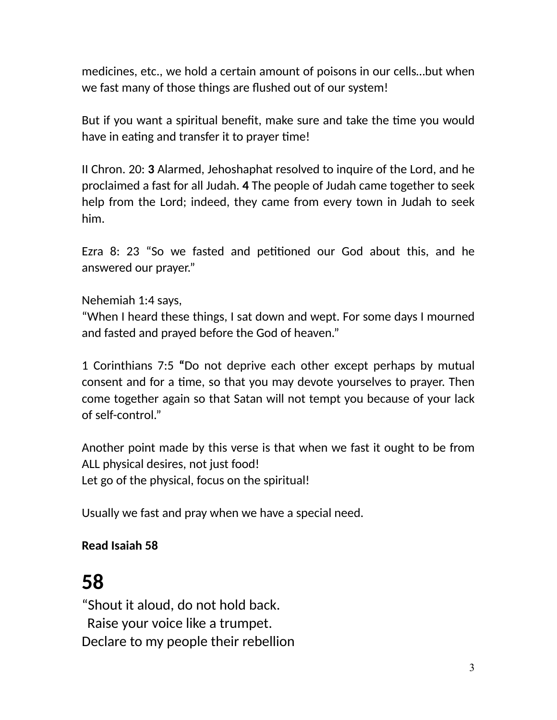medicines, etc., we hold a certain amount of poisons in our cells…but when we fast many of those things are flushed out of our system!

But if you want a spiritual benefit, make sure and take the time you would have in eating and transfer it to prayer time!

II Chron. 20: **3** Alarmed, Jehoshaphat resolved to inquire of the Lord, and he proclaimed a fast for all Judah. **4** The people of Judah came together to seek help from the Lord; indeed, they came from every town in Judah to seek him.

Ezra 8: 23 "So we fasted and petitioned our God about this, and he answered our prayer."

Nehemiah 1:4 says,

"When I heard these things, I sat down and wept. For some days I mourned and fasted and prayed before the God of heaven."

1 Corinthians 7:5 **"**Do not deprive each other except perhaps by mutual consent and for a time, so that you may devote yourselves to prayer. Then come together again so that Satan will not tempt you because of your lack of self-control."

Another point made by this verse is that when we fast it ought to be from ALL physical desires, not just food! Let go of the physical, focus on the spiritual!

Usually we fast and pray when we have a special need.

### **Read Isaiah 58**

# **58**

"Shout it aloud, do not hold back. Raise your voice like a trumpet. Declare to my people their rebellion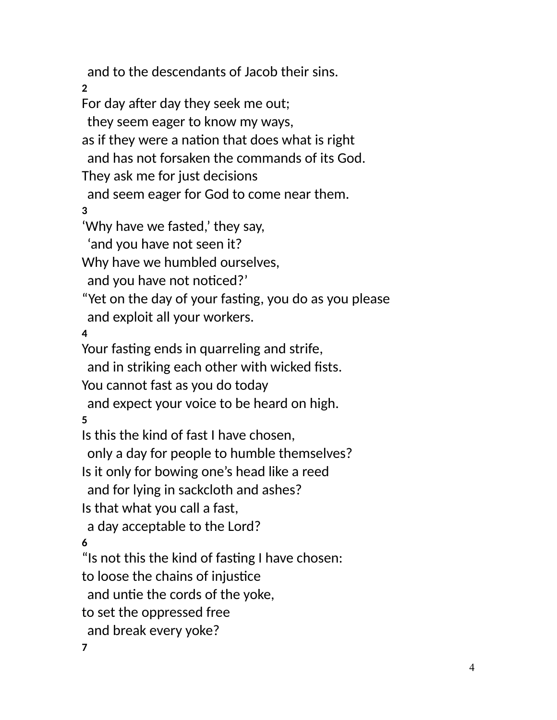and to the descendants of Jacob their sins.

**2** 

For day after day they seek me out;

they seem eager to know my ways,

as if they were a nation that does what is right

and has not forsaken the commands of its God.

They ask me for just decisions

and seem eager for God to come near them.

**3** 

'Why have we fasted,' they say,

'and you have not seen it?

Why have we humbled ourselves,

and you have not noticed?'

"Yet on the day of your fasting, you do as you please and exploit all your workers.

**4** 

Your fasting ends in quarreling and strife,

and in striking each other with wicked fists.

You cannot fast as you do today

and expect your voice to be heard on high.

**5** 

Is this the kind of fast I have chosen,

only a day for people to humble themselves?

Is it only for bowing one's head like a reed

and for lying in sackcloth and ashes?

Is that what you call a fast,

a day acceptable to the Lord?

**6** 

"Is not this the kind of fasting I have chosen:

to loose the chains of injustice

and untie the cords of the yoke,

to set the oppressed free

and break every yoke?

**7**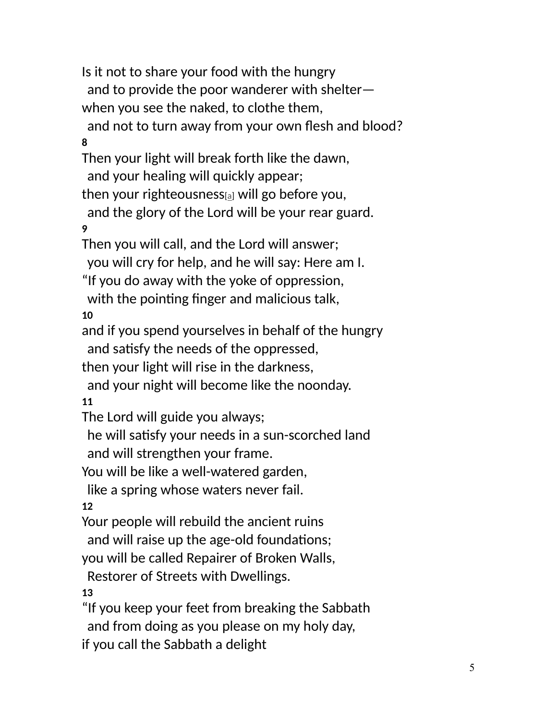Is it not to share your food with the hungry and to provide the poor wanderer with shelter when you see the naked, to clothe them, and not to turn away from your own flesh and blood? **8**  Then your light will break forth like the dawn, and your healing will quickly appear; then your righteousness $a$  will go before you, and the glory of the Lord will be your rear guard. **9**  Then you will call, and the Lord will answer; you will cry for help, and he will say: Here am I. "If you do away with the yoke of oppression, with the pointing finger and malicious talk, **10**  and if you spend yourselves in behalf of the hungry and satisfy the needs of the oppressed, then your light will rise in the darkness, and your night will become like the noonday. **11**  The Lord will guide you always; he will satisfy your needs in a sun-scorched land and will strengthen your frame. You will be like a well-watered garden, like a spring whose waters never fail. **12**  Your people will rebuild the ancient ruins and will raise up the age-old foundations; you will be called Repairer of Broken Walls, Restorer of Streets with Dwellings. **13**  "If you keep your feet from breaking the Sabbath and from doing as you please on my holy day, if you call the Sabbath a delight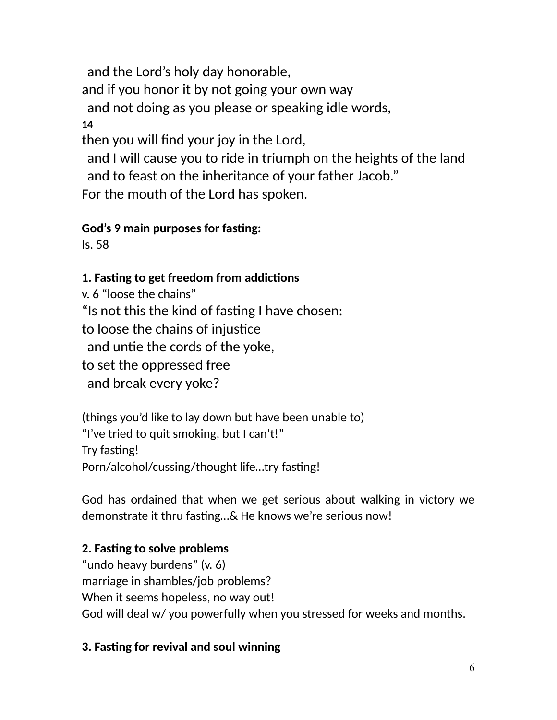and the Lord's holy day honorable,

and if you honor it by not going your own way

and not doing as you please or speaking idle words,

**14** 

then you will find your joy in the Lord,

 and I will cause you to ride in triumph on the heights of the land and to feast on the inheritance of your father Jacob."

For the mouth of the Lord has spoken.

## **God's 9 main purposes for fasting:**

Is. 58

# **1. Fasting to get freedom from addictions**

v. 6 "loose the chains" "Is not this the kind of fasting I have chosen: to loose the chains of injustice and untie the cords of the yoke, to set the oppressed free and break every yoke?

(things you'd like to lay down but have been unable to) "I've tried to quit smoking, but I can't!" Try fasting! Porn/alcohol/cussing/thought life...try fasting!

God has ordained that when we get serious about walking in victory we demonstrate it thru fasting...& He knows we're serious now!

# **2. Fasting to solve problems**

"undo heavy burdens" (v. 6) marriage in shambles/job problems? When it seems hopeless, no way out! God will deal w/ you powerfully when you stressed for weeks and months.

## **3. Fasting for revival and soul winning**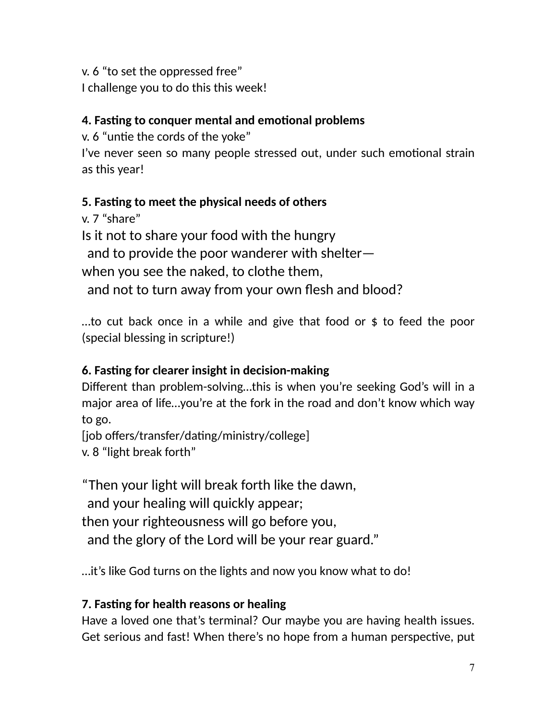v. 6 "to set the oppressed free"

I challenge you to do this this week!

### **4. Fasting to conquer mental and emotional problems**

v. 6 "untie the cords of the yoke"

I've never seen so many people stressed out, under such emotional strain as this year!

## **5. Fasting to meet the physical needs of others**

v. 7 "share" Is it not to share your food with the hungry and to provide the poor wanderer with shelter when you see the naked, to clothe them, and not to turn away from your own flesh and blood?

…to cut back once in a while and give that food or \$ to feed the poor (special blessing in scripture!)

## **6. Fasting for clearer insight in decision-making**

Different than problem-solving…this is when you're seeking God's will in a major area of life…you're at the fork in the road and don't know which way to go.

[job offers/transfer/dating/ministry/college] v. 8 "light break forth"

"Then your light will break forth like the dawn,

and your healing will quickly appear;

then your righteousness will go before you,

and the glory of the Lord will be your rear guard."

…it's like God turns on the lights and now you know what to do!

## **7. Fasting for health reasons or healing**

Have a loved one that's terminal? Our maybe you are having health issues. Get serious and fast! When there's no hope from a human perspective, put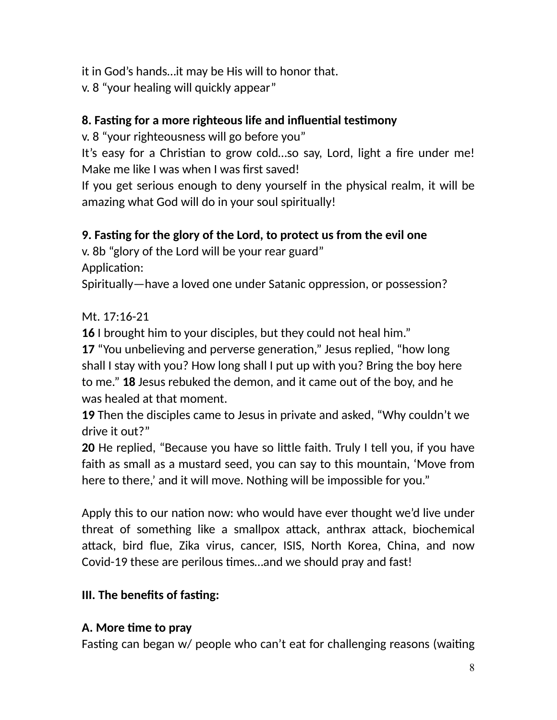it in God's hands…it may be His will to honor that.

v. 8 "your healing will quickly appear"

### **8. Fas4ng for a more righteous life and influen4al tes4mony**

v. 8 "your righteousness will go before you"

It's easy for a Christian to grow cold...so say, Lord, light a fire under me! Make me like I was when I was first saved!

If you get serious enough to deny yourself in the physical realm, it will be amazing what God will do in your soul spiritually!

### **9. Fasting for the glory of the Lord, to protect us from the evil one**

v. 8b "glory of the Lord will be your rear guard"

Application:

Spiritually—have a loved one under Satanic oppression, or possession?

#### Mt. 17:16-21

**16** I brought him to your disciples, but they could not heal him."

**17** "You unbelieving and perverse generation," Jesus replied, "how long shall I stay with you? How long shall I put up with you? Bring the boy here to me." **18** Jesus rebuked the demon, and it came out of the boy, and he was healed at that moment.

**19** Then the disciples came to Jesus in private and asked, "Why couldn't we drive it out?"

**20** He replied, "Because you have so little faith. Truly I tell you, if you have faith as small as a mustard seed, you can say to this mountain, 'Move from here to there,' and it will move. Nothing will be impossible for you."

Apply this to our nation now: who would have ever thought we'd live under threat of something like a smallpox attack, anthrax attack, biochemical attack, bird flue, Zika virus, cancer, ISIS, North Korea, China, and now Covid-19 these are perilous times...and we should pray and fast!

### **III. The benefits of fasting:**

#### A. More time to pray

Fasting can began  $w/$  people who can't eat for challenging reasons (waiting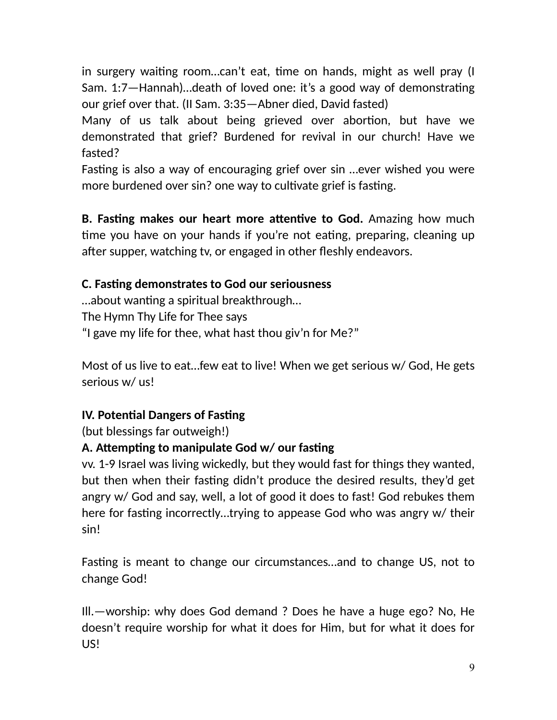in surgery waiting room...can't eat, time on hands, might as well pray (I Sam. 1:7—Hannah)...death of loved one: it's a good way of demonstrating our grief over that. (II Sam. 3:35—Abner died, David fasted)

Many of us talk about being grieved over abortion, but have we demonstrated that grief? Burdened for revival in our church! Have we fasted?

Fasting is also a way of encouraging grief over sin ...ever wished you were more burdened over sin? one way to cultivate grief is fasting.

**B. Fasting makes our heart more attentive to God.** Amazing how much time you have on your hands if you're not eating, preparing, cleaning up after supper, watching tv, or engaged in other fleshly endeavors.

#### **C. Fasting demonstrates to God our seriousness**

...about wanting a spiritual breakthrough... The Hymn Thy Life for Thee says "I gave my life for thee, what hast thou giv'n for Me?"

Most of us live to eat…few eat to live! When we get serious w/ God, He gets serious w/ us!

### **IV. Potential Dangers of Fasting**

(but blessings far outweigh!)

### A. Attempting to manipulate God **w/** our fasting

vv. 1-9 Israel was living wickedly, but they would fast for things they wanted, but then when their fasting didn't produce the desired results, they'd get angry w/ God and say, well, a lot of good it does to fast! God rebukes them here for fasting incorrectly…trying to appease God who was angry w/ their sin!

Fasting is meant to change our circumstances...and to change US, not to change God!

Ill.—worship: why does God demand ? Does he have a huge ego? No, He doesn't require worship for what it does for Him, but for what it does for US!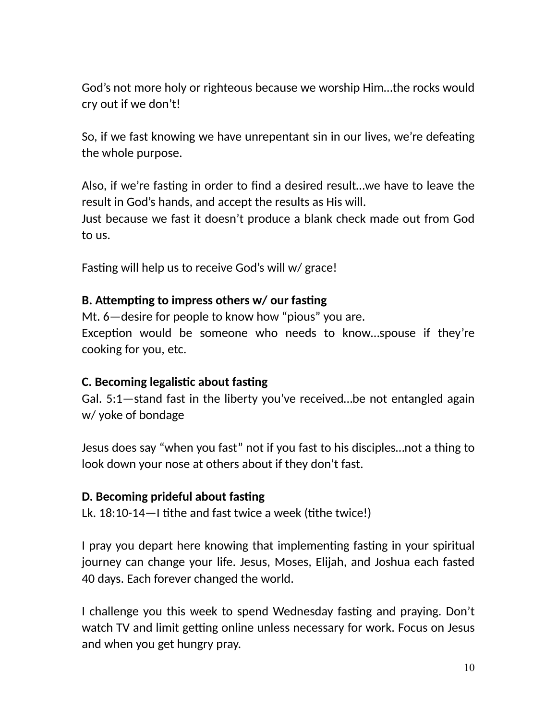God's not more holy or righteous because we worship Him…the rocks would cry out if we don't!

So, if we fast knowing we have unrepentant sin in our lives, we're defeating the whole purpose.

Also, if we're fasting in order to find a desired result...we have to leave the result in God's hands, and accept the results as His will.

Just because we fast it doesn't produce a blank check made out from God to us.

Fasting will help us to receive God's will w/ grace!

#### **B. Attempting to impress others w/ our fasting**

Mt. 6—desire for people to know how "pious" you are. Exception would be someone who needs to know...spouse if they're cooking for you, etc.

#### **C. Becoming legalistic about fasting**

Gal. 5:1—stand fast in the liberty you've received…be not entangled again w/ yoke of bondage

Jesus does say "when you fast" not if you fast to his disciples…not a thing to look down your nose at others about if they don't fast.

#### **D. Becoming prideful about fasting**

Lk.  $18:10-14$  tithe and fast twice a week (tithe twice!)

I pray you depart here knowing that implementing fasting in your spiritual journey can change your life. Jesus, Moses, Elijah, and Joshua each fasted 40 days. Each forever changed the world.

I challenge you this week to spend Wednesday fasting and praying. Don't watch TV and limit getting online unless necessary for work. Focus on Jesus and when you get hungry pray.